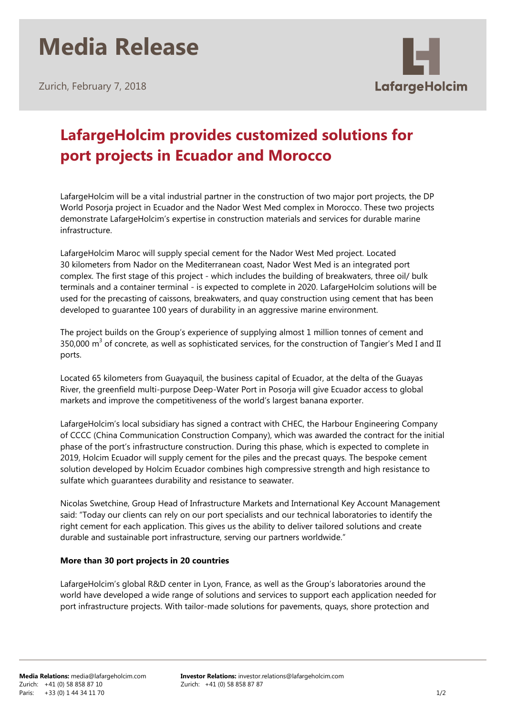# **Media Release**

Zurich, February 7, 2018



### **LafargeHolcim provides customized solutions for port projects in Ecuador and Morocco**

LafargeHolcim will be a vital industrial partner in the construction of two major port projects, the DP World Posorja project in Ecuador and the Nador West Med complex in Morocco. These two projects demonstrate LafargeHolcim's expertise in construction materials and services for durable marine infrastructure.

LafargeHolcim Maroc will supply special cement for the Nador West Med project. Located 30 kilometers from Nador on the Mediterranean coast, Nador West Med is an integrated port complex. The first stage of this project - which includes the building of breakwaters, three oil/ bulk terminals and a container terminal - is expected to complete in 2020. LafargeHolcim solutions will be used for the precasting of caissons, breakwaters, and quay construction using cement that has been developed to guarantee 100 years of durability in an aggressive marine environment.

The project builds on the Group's experience of supplying almost 1 million tonnes of cement and 350,000  $m^3$  of concrete, as well as sophisticated services, for the construction of Tangier's Med I and II ports.

Located 65 kilometers from Guayaquil, the business capital of Ecuador, at the delta of the Guayas River, the greenfield multi-purpose Deep-Water Port in Posorja will give Ecuador access to global markets and improve the competitiveness of the world's largest banana exporter.

LafargeHolcim's local subsidiary has signed a contract with CHEC, the Harbour Engineering Company of CCCC (China Communication Construction Company), which was awarded the contract for the initial phase of the port's infrastructure construction. During this phase, which is expected to complete in 2019, Holcim Ecuador will supply cement for the piles and the precast quays. The bespoke cement solution developed by Holcim Ecuador combines high compressive strength and high resistance to sulfate which guarantees durability and resistance to seawater.

Nicolas Swetchine, Group Head of Infrastructure Markets and International Key Account Management said: "Today our clients can rely on our port specialists and our technical laboratories to identify the right cement for each application. This gives us the ability to deliver tailored solutions and create durable and sustainable port infrastructure, serving our partners worldwide."

#### **More than 30 port projects in 20 countries**

LafargeHolcim's global R&D center in Lyon, France, as well as the Group's laboratories around the world have developed a wide range of solutions and services to support each application needed for port infrastructure projects. With tailor-made solutions for pavements, quays, shore protection and